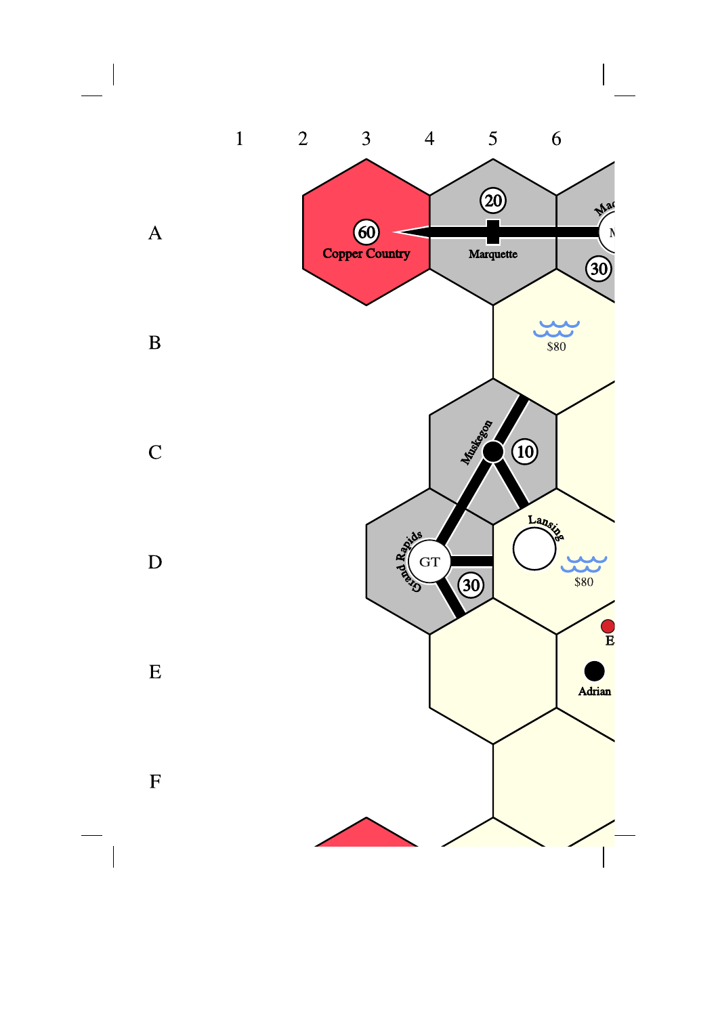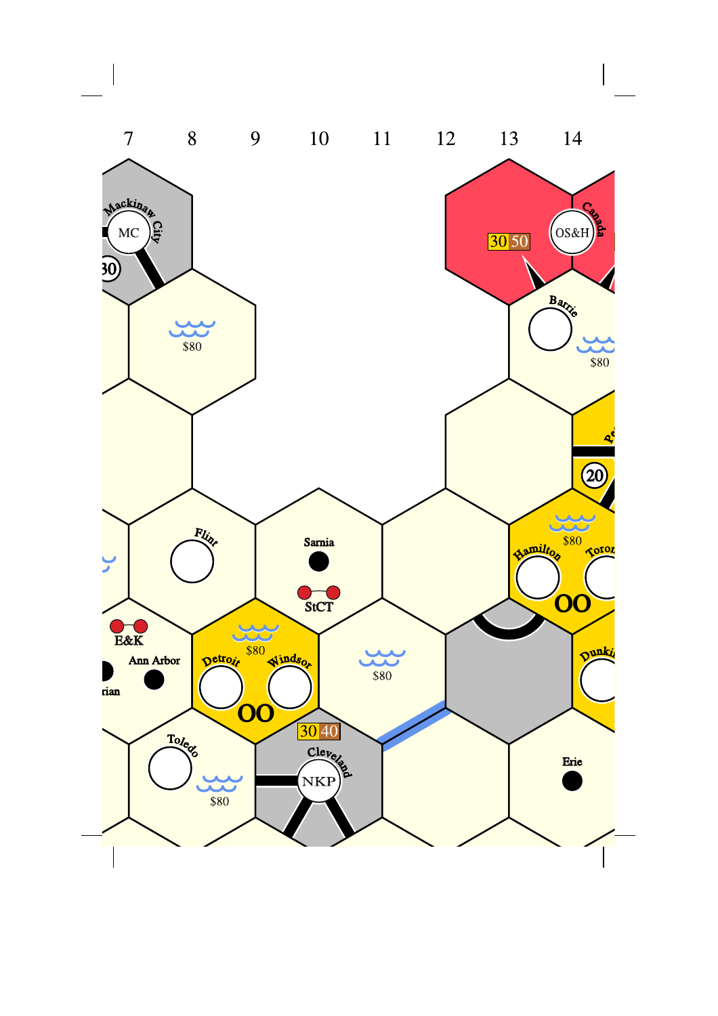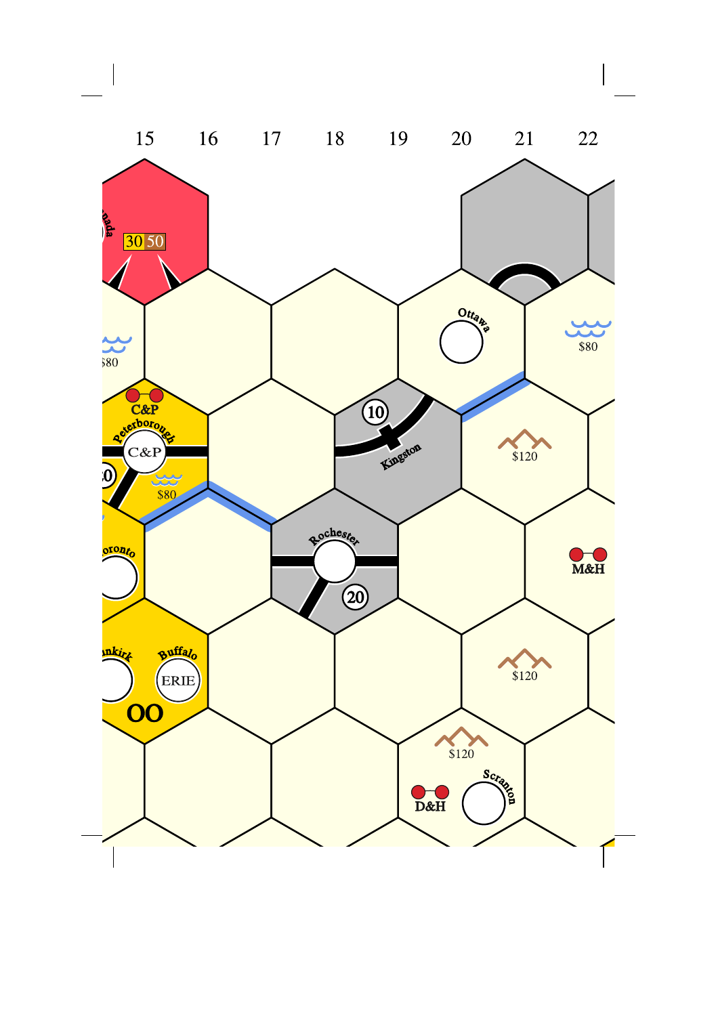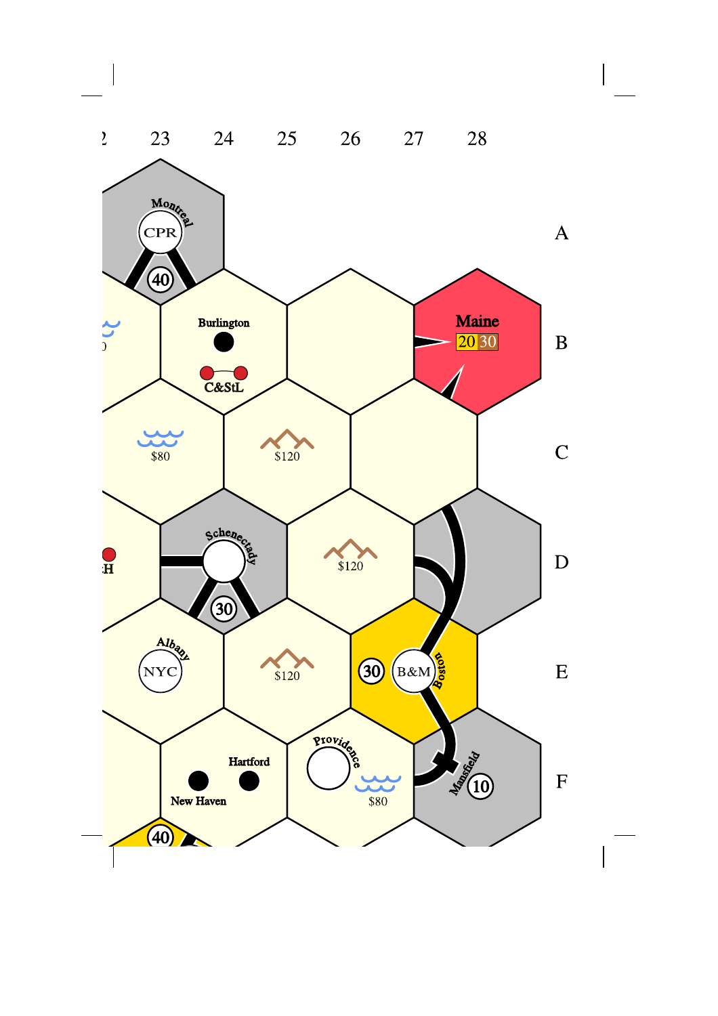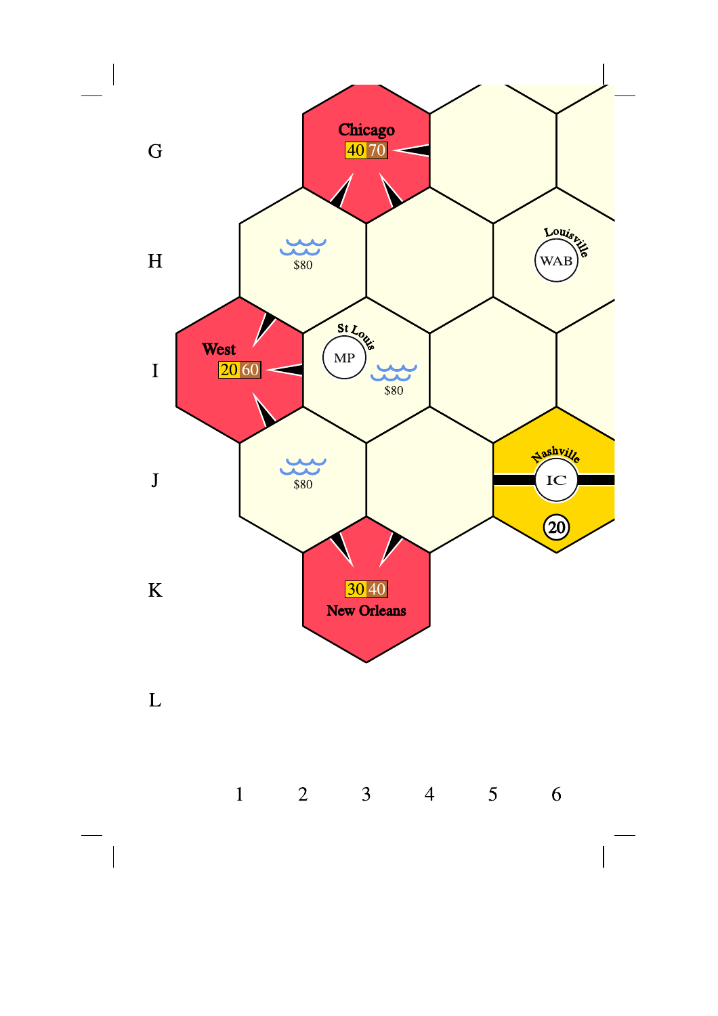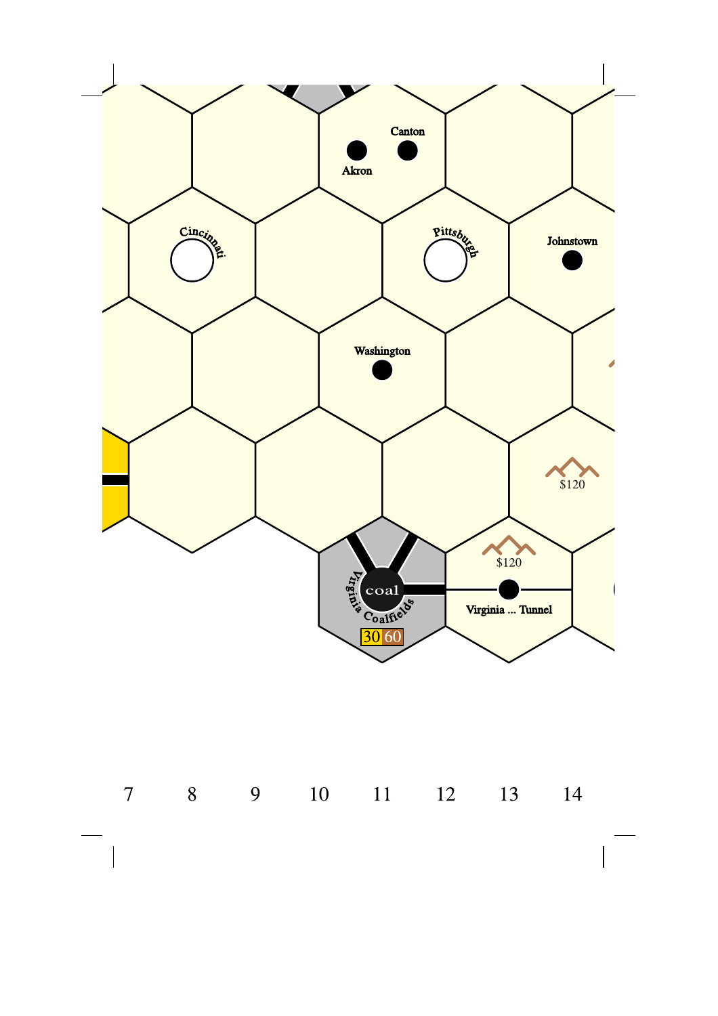

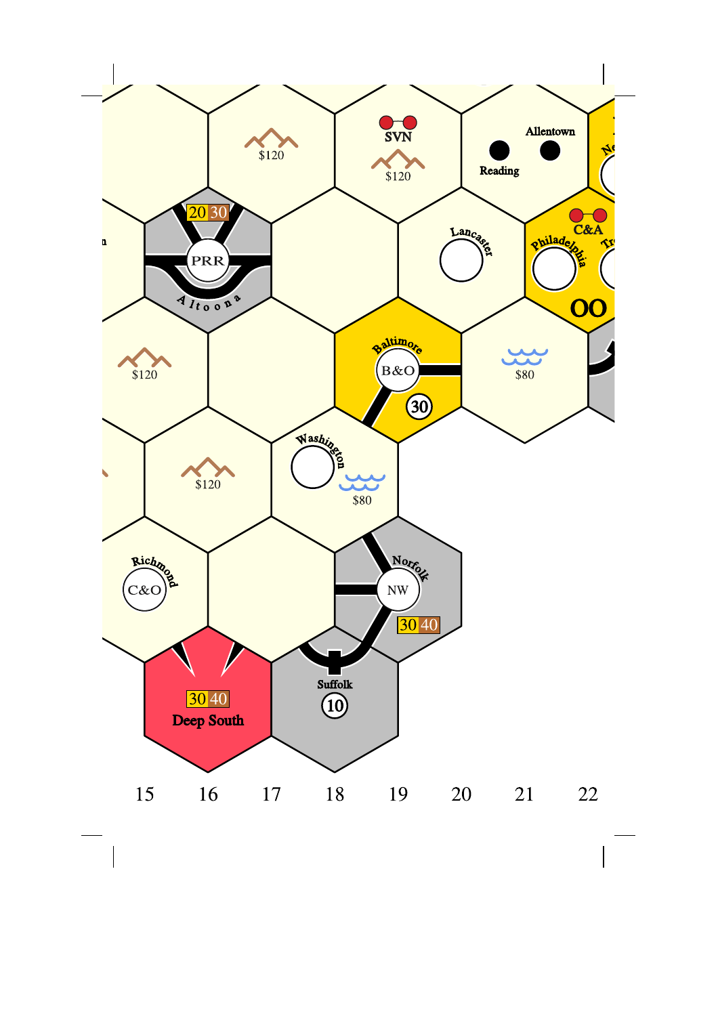